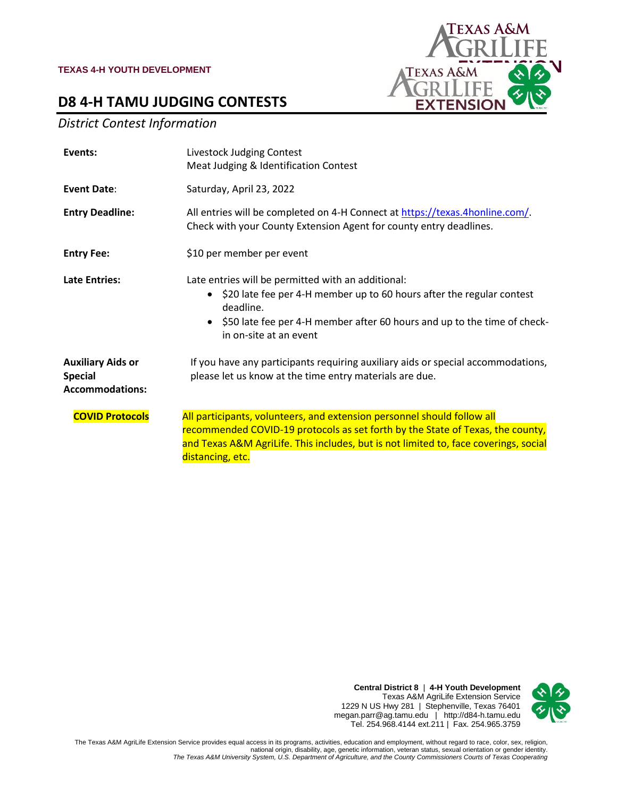



### *District Contest Information*

| Events:                                                              | Livestock Judging Contest<br>Meat Judging & Identification Contest                                                                                                                                                                                                    |  |  |
|----------------------------------------------------------------------|-----------------------------------------------------------------------------------------------------------------------------------------------------------------------------------------------------------------------------------------------------------------------|--|--|
| Event Date:                                                          | Saturday, April 23, 2022                                                                                                                                                                                                                                              |  |  |
| <b>Entry Deadline:</b>                                               | All entries will be completed on 4-H Connect at https://texas.4honline.com/.<br>Check with your County Extension Agent for county entry deadlines.                                                                                                                    |  |  |
| <b>Entry Fee:</b>                                                    | \$10 per member per event                                                                                                                                                                                                                                             |  |  |
| <b>Late Entries:</b>                                                 | Late entries will be permitted with an additional:<br>\$20 late fee per 4-H member up to 60 hours after the regular contest<br>$\bullet$<br>deadline.<br>\$50 late fee per 4-H member after 60 hours and up to the time of check-<br>in on-site at an event           |  |  |
| <b>Auxiliary Aids or</b><br><b>Special</b><br><b>Accommodations:</b> | If you have any participants requiring auxiliary aids or special accommodations,<br>please let us know at the time entry materials are due.                                                                                                                           |  |  |
| <b>COVID Protocols</b>                                               | All participants, volunteers, and extension personnel should follow all<br>recommended COVID-19 protocols as set forth by the State of Texas, the county,<br>and Texas A&M AgriLife. This includes, but is not limited to, face coverings, social<br>distancing, etc. |  |  |





The Texas A&M AgriLife Extension Service provides equal access in its programs, activities, education and employment, without regard to race, color, sex, religion,<br>national origin, disability, age, genetic information, vet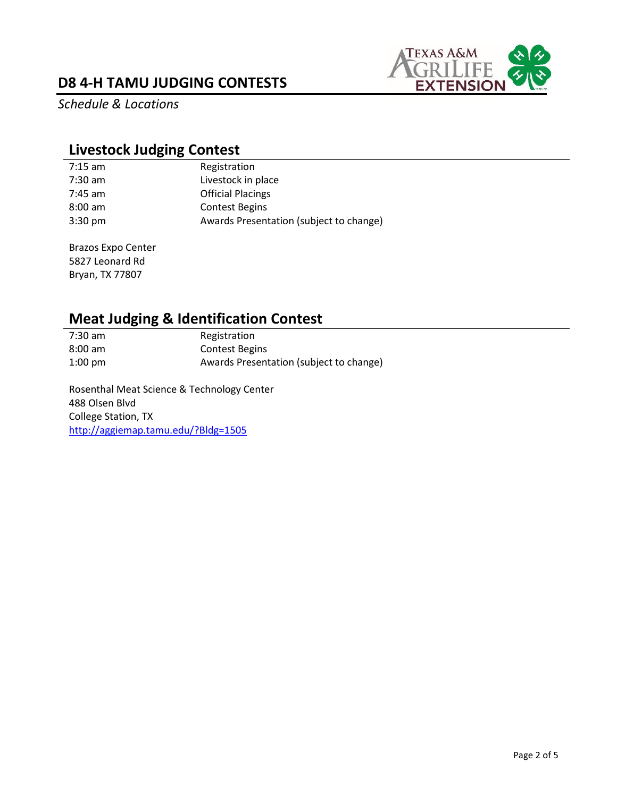# **D8 4-H TAMU JUDGING CONTESTS**



*Schedule & Locations*

# **Livestock Judging Contest**

| 7:15 am           | Registration                            |
|-------------------|-----------------------------------------|
| 7:30 am           | Livestock in place                      |
| 7:45 am           | <b>Official Placings</b>                |
| $8:00$ am         | <b>Contest Begins</b>                   |
| $3:30 \text{ pm}$ | Awards Presentation (subject to change) |

Brazos Expo Center 5827 Leonard Rd Bryan, TX 77807

# **Meat Judging & Identification Contest**<br>7:30 am **Registration**

**Registration** 8:00 am Contest Begins 1:00 pm Awards Presentation (subject to change)

Rosenthal Meat Science & Technology Center 488 Olsen Blvd College Station, TX <http://aggiemap.tamu.edu/?Bldg=1505>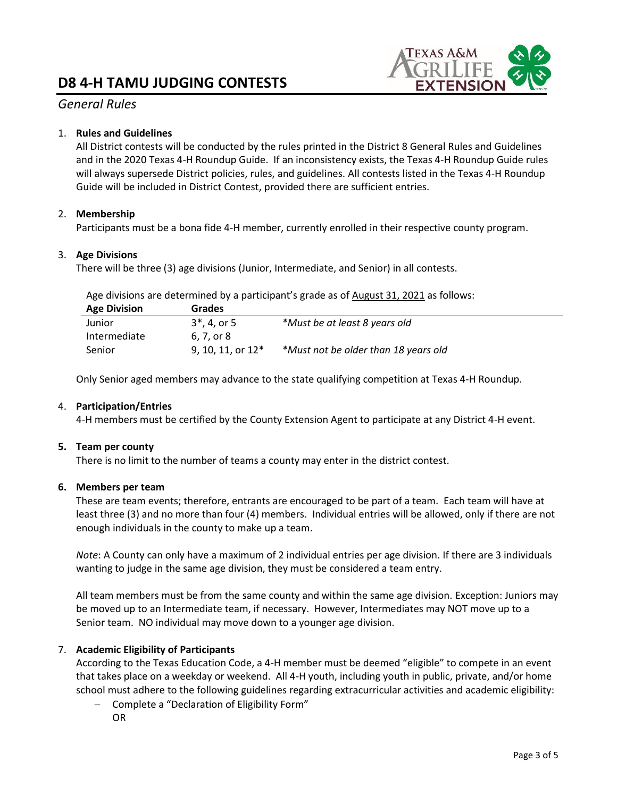# **D8 4-H TAMU JUDGING CONTESTS**



#### *General Rules*

#### 1. **Rules and Guidelines**

All District contests will be conducted by the rules printed in the District 8 General Rules and Guidelines and in the 2020 Texas 4-H Roundup Guide. If an inconsistency exists, the Texas 4-H Roundup Guide rules will always supersede District policies, rules, and guidelines. All contests listed in the Texas 4-H Roundup Guide will be included in District Contest, provided there are sufficient entries.

#### 2. **Membership**

Participants must be a bona fide 4-H member, currently enrolled in their respective county program.

#### 3. **Age Divisions**

There will be three (3) age divisions (Junior, Intermediate, and Senior) in all contests.

Age divisions are determined by a participant's grade as of August 31, 2021 as follows:

| <b>Age Division</b> | <b>Grades</b>       |                                      |
|---------------------|---------------------|--------------------------------------|
| Junior              | $3^*$ , 4, or 5     | *Must be at least 8 years old        |
| Intermediate        | 6.7. or 8           |                                      |
| Senior              | 9, 10, 11, or $12*$ | *Must not be older than 18 years old |

Only Senior aged members may advance to the state qualifying competition at Texas 4-H Roundup.

#### 4. **Participation/Entries**

4-H members must be certified by the County Extension Agent to participate at any District 4-H event.

#### **5. Team per county**

There is no limit to the number of teams a county may enter in the district contest.

#### **6. Members per team**

These are team events; therefore, entrants are encouraged to be part of a team. Each team will have at least three (3) and no more than four (4) members. Individual entries will be allowed, only if there are not enough individuals in the county to make up a team.

*Note*: A County can only have a maximum of 2 individual entries per age division. If there are 3 individuals wanting to judge in the same age division, they must be considered a team entry.

All team members must be from the same county and within the same age division. Exception: Juniors may be moved up to an Intermediate team, if necessary. However, Intermediates may NOT move up to a Senior team. NO individual may move down to a younger age division.

#### 7. **Academic Eligibility of Participants**

According to the Texas Education Code, a 4-H member must be deemed "eligible" to compete in an event that takes place on a weekday or weekend. All 4-H youth, including youth in public, private, and/or home school must adhere to the following guidelines regarding extracurricular activities and academic eligibility:

− Complete a "Declaration of Eligibility Form" OR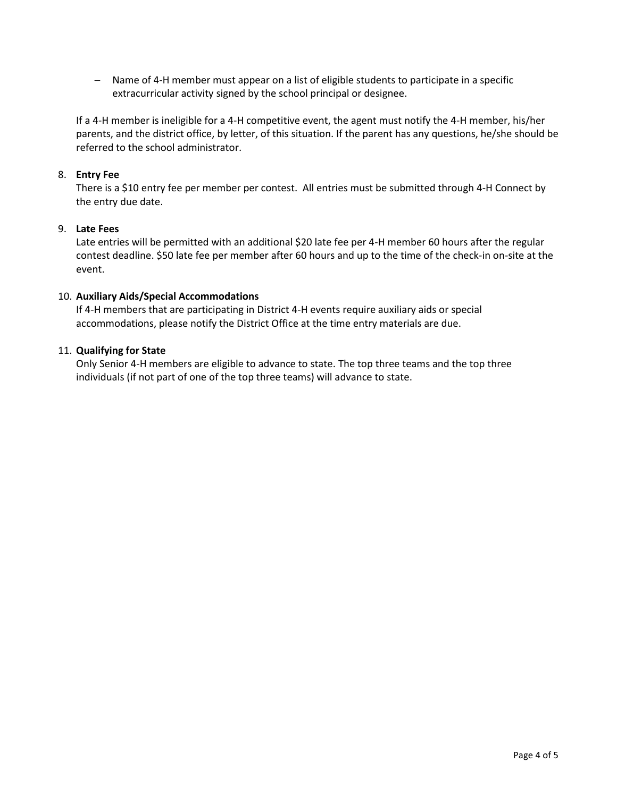− Name of 4-H member must appear on a list of eligible students to participate in a specific extracurricular activity signed by the school principal or designee.

If a 4-H member is ineligible for a 4-H competitive event, the agent must notify the 4-H member, his/her parents, and the district office, by letter, of this situation. If the parent has any questions, he/she should be referred to the school administrator.

#### 8. **Entry Fee**

There is a \$10 entry fee per member per contest. All entries must be submitted through 4-H Connect by the entry due date.

#### 9. **Late Fees**

Late entries will be permitted with an additional \$20 late fee per 4-H member 60 hours after the regular contest deadline. \$50 late fee per member after 60 hours and up to the time of the check-in on-site at the event.

#### 10. **Auxiliary Aids/Special Accommodations**

If 4-H members that are participating in District 4-H events require auxiliary aids or special accommodations, please notify the District Office at the time entry materials are due.

#### 11. **Qualifying for State**

Only Senior 4-H members are eligible to advance to state. The top three teams and the top three individuals (if not part of one of the top three teams) will advance to state.